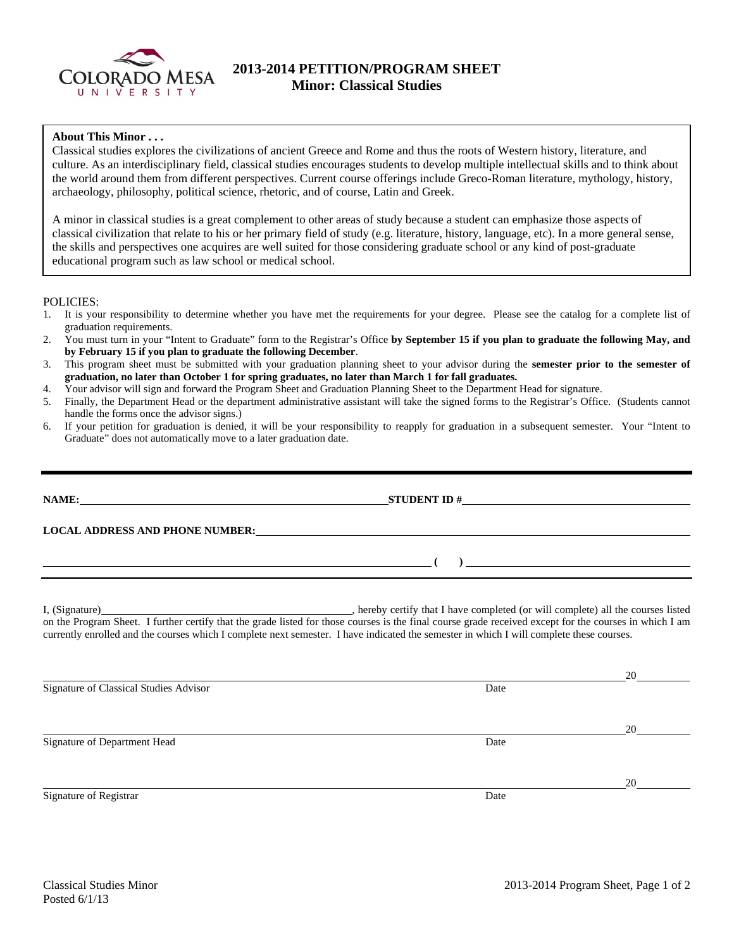

## **2013-2014 PETITION/PROGRAM SHEET Minor: Classical Studies**

## **About This Minor . . .**

Classical studies explores the civilizations of ancient Greece and Rome and thus the roots of Western history, literature, and culture. As an interdisciplinary field, classical studies encourages students to develop multiple intellectual skills and to think about the world around them from different perspectives. Current course offerings include Greco-Roman literature, mythology, history, archaeology, philosophy, political science, rhetoric, and of course, Latin and Greek.

A minor in classical studies is a great complement to other areas of study because a student can emphasize those aspects of classical civilization that relate to his or her primary field of study (e.g. literature, history, language, etc). In a more general sense, the skills and perspectives one acquires are well suited for those considering graduate school or any kind of post-graduate educational program such as law school or medical school.

POLICIES:

- 1. It is your responsibility to determine whether you have met the requirements for your degree. Please see the catalog for a complete list of graduation requirements.
- 2. You must turn in your "Intent to Graduate" form to the Registrar's Office **by September 15 if you plan to graduate the following May, and by February 15 if you plan to graduate the following December**.
- 3. This program sheet must be submitted with your graduation planning sheet to your advisor during the **semester prior to the semester of graduation, no later than October 1 for spring graduates, no later than March 1 for fall graduates.**
- 4. Your advisor will sign and forward the Program Sheet and Graduation Planning Sheet to the Department Head for signature.
- 5. Finally, the Department Head or the department administrative assistant will take the signed forms to the Registrar's Office. (Students cannot handle the forms once the advisor signs.)
- 6. If your petition for graduation is denied, it will be your responsibility to reapply for graduation in a subsequent semester. Your "Intent to Graduate" does not automatically move to a later graduation date.

|                                        | NAME: STUDENT ID $\#$                                                                                                                    |  |
|----------------------------------------|------------------------------------------------------------------------------------------------------------------------------------------|--|
|                                        | LOCAL ADDRESS AND PHONE NUMBER: Under ALL ADDRESS AND PHONE NUMBER:                                                                      |  |
|                                        |                                                                                                                                          |  |
|                                        | currently enrolled and the courses which I complete next semester. I have indicated the semester in which I will complete these courses. |  |
|                                        |                                                                                                                                          |  |
|                                        |                                                                                                                                          |  |
| Signature of Classical Studies Advisor | Date                                                                                                                                     |  |
|                                        |                                                                                                                                          |  |
| Signature of Department Head           | Date                                                                                                                                     |  |
|                                        |                                                                                                                                          |  |